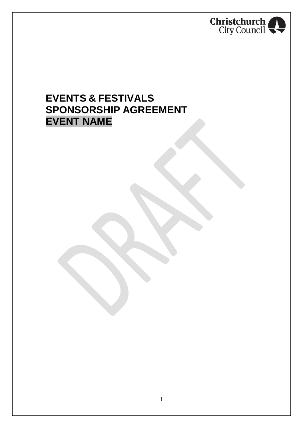

# **EVENTS & FESTIVALS SPONSORSHIP AGREEMENT EVENT NAME**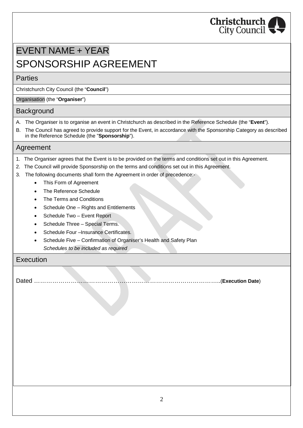

# EVENT NAME + YEAR SPONSORSHIP AGREEMENT

### Parties

Christchurch City Council (the "**Council**")

### Organisation (the "**Organiser**")

### Background

- A. The Organiser is to organise an event in Christchurch as described in the Reference Schedule (the "**Event**").
- B. The Council has agreed to provide support for the Event, in accordance with the Sponsorship Category as described in the Reference Schedule (the "**Sponsorship**").

### Agreement

- 1. The Organiser agrees that the Event is to be provided on the terms and conditions set out in this Agreement.
- 2. The Council will provide Sponsorship on the terms and conditions set out in this Agreement.
- 3. The following documents shall form the Agreement in order of precedence:-
	- · This Form of Agreement
	- The Reference Schedule
	- The Terms and Conditions
	- Schedule One Rights and Entitlements
	- Schedule Two Event Report
	- Schedule Three Special Terms.
	- Schedule Four –Insurance Certificates.
	- Schedule Five Confirmation of Organiser's Health and Safety Plan *Schedules to be included as required*

### Execution

Dated ………………………………………………………………………………..(**Execution Date**)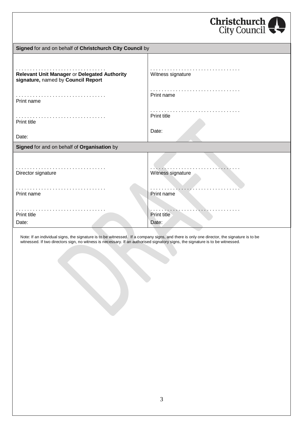|                                                                                    | Christchurch       |
|------------------------------------------------------------------------------------|--------------------|
| Signed for and on behalf of Christchurch City Council by                           |                    |
|                                                                                    |                    |
| Relevant Unit Manager or Delegated Authority<br>signature, named by Council Report | Witness signature  |
| Print name                                                                         | Print name         |
| Print title                                                                        | .<br>Print title   |
| Date:                                                                              | Date:              |
| Signed for and on behalf of Organisation by                                        |                    |
|                                                                                    |                    |
| .<br>Director signature                                                            | Witness signature  |
| .<br>Print name                                                                    | Print name         |
| Print title                                                                        | <b>Print title</b> |
| Date:                                                                              | Date:              |

Note: If an individual signs, the signature is to be witnessed. If a company signs, and there is only one director, the signature is to be witnessed. If two directors sign, no witness is necessary. If an authorised signatory signs, the signature is to be witnessed.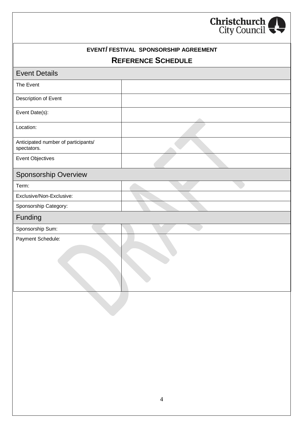

| EVENT/ FESTIVAL SPONSORSHIP AGREEMENT<br><b>REFERENCE SCHEDULE</b><br><b>Event Details</b> |  |  |
|--------------------------------------------------------------------------------------------|--|--|
|                                                                                            |  |  |
| Description of Event                                                                       |  |  |
| Event Date(s):                                                                             |  |  |
| Location:                                                                                  |  |  |
| Anticipated number of participants/<br>spectators.                                         |  |  |
| Event Objectives                                                                           |  |  |
| <b>Sponsorship Overview</b>                                                                |  |  |
| Term:                                                                                      |  |  |
| Exclusive/Non-Exclusive:                                                                   |  |  |
| Sponsorship Category:                                                                      |  |  |
| Funding                                                                                    |  |  |
| Sponsorship Sum:                                                                           |  |  |
| Payment Schedule:                                                                          |  |  |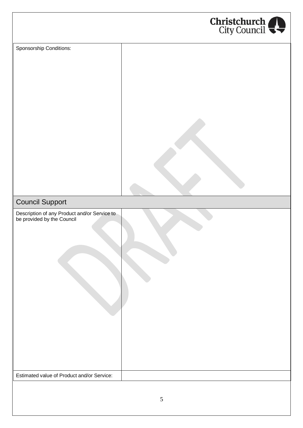

| Sponsorship Conditions:                                                    |  |
|----------------------------------------------------------------------------|--|
| <b>Council Support</b>                                                     |  |
| Description of any Product and/or Service to<br>be provided by the Council |  |
| Estimated value of Product and/or Service:                                 |  |
|                                                                            |  |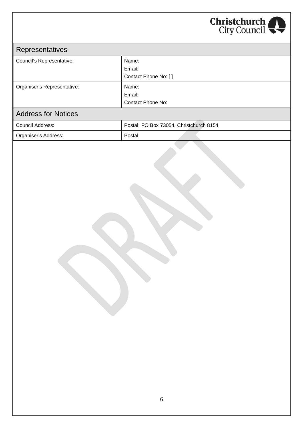

| <b>Representatives</b>      |                      |
|-----------------------------|----------------------|
| Council's Representative:   | Name:                |
|                             | Email:               |
|                             | Contact Phone No: [] |
| Organiser's Representative: | Name:                |
|                             | Email:               |
|                             | Contact Phone No:    |
| <b>Address for Notices</b>  |                      |

| Council Address:     | Postal: PO Box 73054, Christchurch 8154 |
|----------------------|-----------------------------------------|
| Organiser's Address: | Postal:                                 |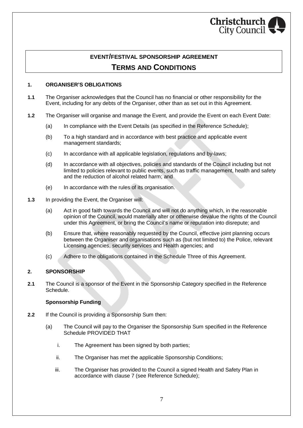

### **EVENT/FESTIVAL SPONSORSHIP AGREEMENT TERMS AND CONDITIONS**

#### **1. ORGANISER'S OBLIGATIONS**

- **1.1** The Organiser acknowledges that the Council has no financial or other responsibility for the Event, including for any debts of the Organiser, other than as set out in this Agreement.
- **1.2** The Organiser will organise and manage the Event, and provide the Event on each Event Date:
	- (a) In compliance with the Event Details (as specified in the Reference Schedule);
	- (b) To a high standard and in accordance with best practice and applicable event management standards;
	- (c) In accordance with all applicable legislation, regulations and by-laws;
	- (d) In accordance with all objectives, policies and standards of the Council including but not limited to policies relevant to public events, such as traffic management, health and safety and the reduction of alcohol related harm; and
	- (e) In accordance with the rules of its organisation.
- **1.3** In providing the Event, the Organiser will:
	- (a) Act in good faith towards the Council and will not do anything which, in the reasonable opinion of the Council, would materially alter or otherwise devalue the rights of the Council under this Agreement, or bring the Council's name or reputation into disrepute; and
	- (b) Ensure that, where reasonably requested by the Council, effective joint planning occurs between the Organiser and organisations such as (but not limited to) the Police, relevant Licensing agencies, security services and Health agencies; and
	- (c) Adhere to the obligations contained in the Schedule Three of this Agreement.

#### **2. SPONSORSHIP**

**2.1** The Council is a sponsor of the Event in the Sponsorship Category specified in the Reference Schedule.

#### **Sponsorship Funding**

- **2.2** If the Council is providing a Sponsorship Sum then:
	- (a) The Council will pay to the Organiser the Sponsorship Sum specified in the Reference Schedule PROVIDED THAT
		- i. The Agreement has been signed by both parties;
		- ii. The Organiser has met the applicable Sponsorship Conditions;
		- iii. The Organiser has provided to the Council a signed Health and Safety Plan in accordance with clause 7 (see Reference Schedule);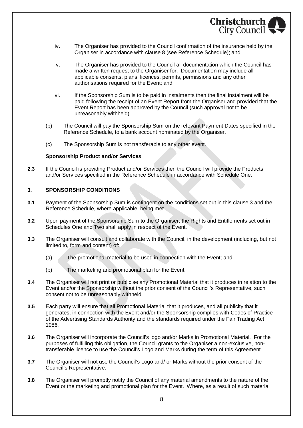

- iv. The Organiser has provided to the Council confirmation of the insurance held by the Organiser in accordance with clause 8 (see Reference Schedule); and
- v. The Organiser has provided to the Council all documentation which the Council has made a written request to the Organiser for. Documentation may include all applicable consents, plans, licences, permits, permissions and any other authorisations required for the Event; and
- vi. If the Sponsorship Sum is to be paid in instalments then the final instalment will be paid following the receipt of an Event Report from the Organiser and provided that the Event Report has been approved by the Council (such approval not to be unreasonably withheld).
- (b) The Council will pay the Sponsorship Sum on the relevant Payment Dates specified in the Reference Schedule, to a bank account nominated by the Organiser.
- (c) The Sponsorship Sum is not transferable to any other event.

#### **Sponsorship Product and/or Services**

**2.3** If the Council is providing Product and/or Services then the Council will provide the Products and/or Services specified in the Reference Schedule in accordance with Schedule One.

#### **3. SPONSORSHIP CONDITIONS**

- **3.1** Payment of the Sponsorship Sum is contingent on the conditions set out in this clause 3 and the Reference Schedule, where applicable, being met.
- **3.2** Upon payment of the Sponsorship Sum to the Organiser, the Rights and Entitlements set out in Schedules One and Two shall apply in respect of the Event.
- **3.3** The Organiser will consult and collaborate with the Council, in the development (including, but not limited to, form and content) of:
	- (a) The promotional material to be used in connection with the Event; and
	- (b) The marketing and promotional plan for the Event.
- **3.4** The Organiser will not print or publicise any Promotional Material that it produces in relation to the Event and/or the Sponsorship without the prior consent of the Council's Representative, such consent not to be unreasonably withheld.
- **3.5** Each party will ensure that all Promotional Material that it produces, and all publicity that it generates, in connection with the Event and/or the Sponsorship complies with Codes of Practice of the Advertising Standards Authority and the standards required under the Fair Trading Act 1986.
- **3.6** The Organiser will incorporate the Council's logo and/or Marks in Promotional Material. For the purposes of fulfilling this obligation, the Council grants to the Organiser a non-exclusive, nontransferable licence to use the Council's Logo and Marks during the term of this Agreement.
- **3.7** The Organiser will not use the Council's Logo and/ or Marks without the prior consent of the Council's Representative.
- **3.8** The Organiser will promptly notify the Council of any material amendments to the nature of the Event or the marketing and promotional plan for the Event. Where, as a result of such material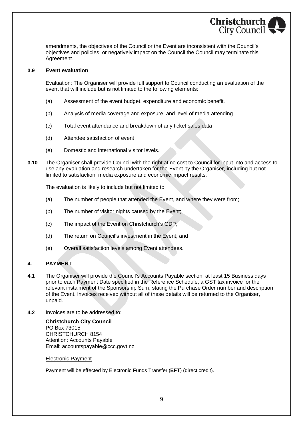

amendments, the objectives of the Council or the Event are inconsistent with the Council's objectives and policies, or negatively impact on the Council the Council may terminate this Agreement.

#### **3.9 Event evaluation**

Evaluation: The Organiser will provide full support to Council conducting an evaluation of the event that will include but is not limited to the following elements:

- (a) Assessment of the event budget, expenditure and economic benefit.
- (b) Analysis of media coverage and exposure, and level of media attending
- (c) Total event attendance and breakdown of any ticket sales data
- (d) Attendee satisfaction of event
- (e) Domestic and international visitor levels.
- **3.10** The Organiser shall provide Council with the right at no cost to Council for input into and access to use any evaluation and research undertaken for the Event by the Organiser, including but not limited to satisfaction, media exposure and economic impact results.

The evaluation is likely to include but not limited to:

- (a) The number of people that attended the Event, and where they were from;
- (b) The number of visitor nights caused by the Event;
- (c) The impact of the Event on Christchurch's GDP;
- (d) The return on Council's investment in the Event; and
- (e) Overall satisfaction levels among Event attendees.

#### **4. PAYMENT**

- **4.1** The Organiser will provide the Council's Accounts Payable section, at least 15 Business days prior to each Payment Date specified in the Reference Schedule, a GST tax invoice for the relevant instalment of the Sponsorship Sum, stating the Purchase Order number and description of the Event. Invoices received without all of these details will be returned to the Organiser, unpaid.
- **4.2** Invoices are to be addressed to:

**Christchurch City Council** PO Box 73015 CHRISTCHURCH 8154 Attention: Accounts Payable Email: accountspayable@ccc.govt.nz

#### Electronic Payment

Payment will be effected by Electronic Funds Transfer (**EFT**) (direct credit).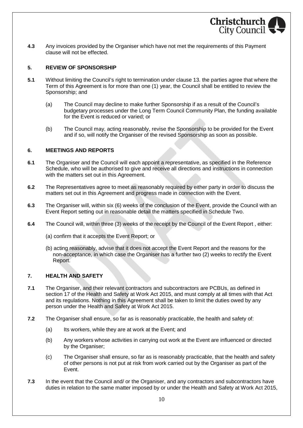**4.3** Any invoices provided by the Organiser which have not met the requirements of this Payment clause will not be effected.

#### **5. REVIEW OF SPONSORSHIP**

- **5.1** Without limiting the Council's right to termination under clause 13. the parties agree that where the Term of this Agreement is for more than one (1) year, the Council shall be entitled to review the Sponsorship; and
	- (a) The Council may decline to make further Sponsorship if as a result of the Council's budgetary processes under the Long Term Council Community Plan, the funding available for the Event is reduced or varied; or

Christchurch City Council

(b) The Council may, acting reasonably, revise the Sponsorship to be provided for the Event and if so, will notify the Organiser of the revised Sponsorship as soon as possible.

#### **6. MEETINGS AND REPORTS**

- **6.1** The Organiser and the Council will each appoint a representative, as specified in the Reference Schedule, who will be authorised to give and receive all directions and instructions in connection with the matters set out in this Agreement.
- **6.2** The Representatives agree to meet as reasonably required by either party in order to discuss the matters set out in this Agreement and progress made in connection with the Event.
- **6.3** The Organiser will, within six (6) weeks of the conclusion of the Event, provide the Council with an Event Report setting out in reasonable detail the matters specified in Schedule Two.
- **6.4** The Council will, within three (3) weeks of the receipt by the Council of the Event Report , either:
	- (a) confirm that it accepts the Event Report; or
	- (b) acting reasonably, advise that it does not accept the Event Report and the reasons for the non-acceptance, in which case the Organiser has a further two (2) weeks to rectify the Event Report.

#### **7. HEALTH AND SAFETY**

- **7.1** The Organiser, and their relevant contractors and subcontractors are PCBUs, as defined in section 17 of the Health and Safety at Work Act 2015, and must comply at all times with that Act and its regulations. Nothing in this Agreement shall be taken to limit the duties owed by any person under the Health and Safety at Work Act 2015.
- **7.2** The Organiser shall ensure, so far as is reasonably practicable, the health and safety of:
	- (a) Its workers, while they are at work at the Event; and
	- (b) Any workers whose activities in carrying out work at the Event are influenced or directed by the Organiser;
	- (c) The Organiser shall ensure, so far as is reasonably practicable, that the health and safety of other persons is not put at risk from work carried out by the Organiser as part of the Event.
- **7.3** In the event that the Council and/ or the Organiser, and any contractors and subcontractors have duties in relation to the same matter imposed by or under the Health and Safety at Work Act 2015,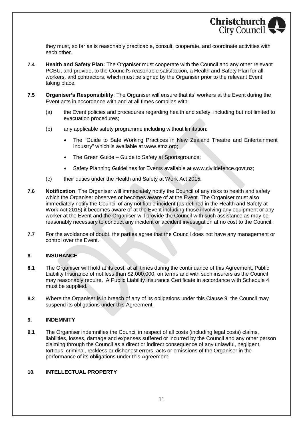

they must, so far as is reasonably practicable, consult, cooperate, and coordinate activities with each other.

- **7.4 Health and Safety Plan:** The Organiser must cooperate with the Council and any other relevant PCBU, and provide, to the Council's reasonable satisfaction, a Health and Safety Plan for all workers, and contractors, which must be signed by the Organiser prior to the relevant Event taking place.
- **7.5 Organiser's Responsibility**: The Organiser will ensure that its' workers at the Event during the Event acts in accordance with and at all times complies with:
	- (a) the Event policies and procedures regarding health and safety, including but not limited to evacuation procedures;
	- (b) any applicable safety programme including without limitation:
		- The "Guide to Safe Working Practices in New Zealand Theatre and Entertainment Industry" which is available at www.etnz.org;
		- The Green Guide Guide to Safety at Sportsgrounds:
		- Safety Planning Guidelines for Events available at www.civildefence.govt.nz;
	- (c) their duties under the Health and Safety at Work Act 2015.
- **7.6 Notification**: The Organiser will immediately notify the Council of any risks to health and safety which the Organiser observes or becomes aware of at the Event. The Organiser must also immediately notify the Council of any notifiable incident (as defined in the Health and Safety at Work Act 2015) it becomes aware of at the Event including those involving any equipment or any worker at the Event and the Organiser will provide the Council with such assistance as may be reasonably necessary to conduct any incident or accident investigation at no cost to the Council.
- **7.7** For the avoidance of doubt, the parties agree that the Council does not have any management or control over the Event.

#### **8. INSURANCE**

- **8.1** The Organiser will hold at its cost, at all times during the continuance of this Agreement, Public Liability Insurance of not less than \$2,000,000, on terms and with such insurers as the Council may reasonably require. A Public Liability Insurance Certificate in accordance with Schedule 4 must be supplied.
- **8.2** Where the Organiser is in breach of any of its obligations under this Clause 9, the Council may suspend its obligations under this Agreement.

#### **9. INDEMNITY**

**9.1** The Organiser indemnifies the Council in respect of all costs (including legal costs) claims, liabilities, losses, damage and expenses suffered or incurred by the Council and any other person claiming through the Council as a direct or indirect consequence of any unlawful, negligent, tortious, criminal, reckless or dishonest errors, acts or omissions of the Organiser in the performance of its obligations under this Agreement.

#### **10. INTELLECTUAL PROPERTY**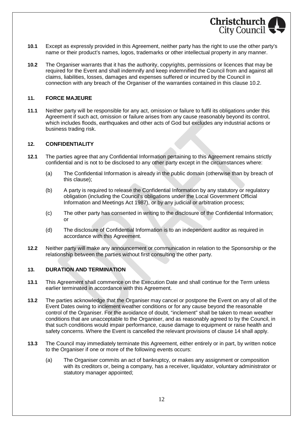

- **10.1** Except as expressly provided in this Agreement, neither party has the right to use the other party's name or their product's names, logos, trademarks or other intellectual property in any manner.
- **10.2** The Organiser warrants that it has the authority, copyrights, permissions or licences that may be required for the Event and shall indemnify and keep indemnified the Council from and against all claims, liabilities, losses, damages and expenses suffered or incurred by the Council in connection with any breach of the Organiser of the warranties contained in this clause 10.2.

#### **11. FORCE MAJEURE**

**11.1** Neither party will be responsible for any act, omission or failure to fulfil its obligations under this Agreement if such act, omission or failure arises from any cause reasonably beyond its control, which includes floods, earthquakes and other acts of God but excludes any industrial actions or business trading risk.

#### **12. CONFIDENTIALITY**

- **12.1** The parties agree that any Confidential Information pertaining to this Agreement remains strictly confidential and is not to be disclosed to any other party except in the circumstances where:
	- (a) The Confidential Information is already in the public domain (otherwise than by breach of this clause);
	- (b) A party is required to release the Confidential Information by any statutory or regulatory obligation (including the Council's obligations under the Local Government Official Information and Meetings Act 1987), or by any judicial or arbitration process;
	- (c) The other party has consented in writing to the disclosure of the Confidential Information; or
	- (d) The disclosure of Confidential Information is to an independent auditor as required in accordance with this Agreement.
- **12.2** Neither party will make any announcement or communication in relation to the Sponsorship or the relationship between the parties without first consulting the other party.

#### **13. DURATION AND TERMINATION**

- **13.1** This Agreement shall commence on the Execution Date and shall continue for the Term unless earlier terminated in accordance with this Agreement.
- **13.2** The parties acknowledge that the Organiser may cancel or postpone the Event on any of all of the Event Dates owing to inclement weather conditions or for any cause beyond the reasonable control of the Organiser. For the avoidance of doubt, "inclement" shall be taken to mean weather conditions that are unacceptable to the Organiser, and as reasonably agreed to by the Council, in that such conditions would impair performance, cause damage to equipment or raise health and safety concerns. Where the Event is cancelled the relevant provisions of clause 14 shall apply.
- **13.3** The Council may immediately terminate this Agreement, either entirely or in part, by written notice to the Organiser if one or more of the following events occurs:
	- (a) The Organiser commits an act of bankruptcy, or makes any assignment or composition with its creditors or, being a company, has a receiver, liquidator, voluntary administrator or statutory manager appointed;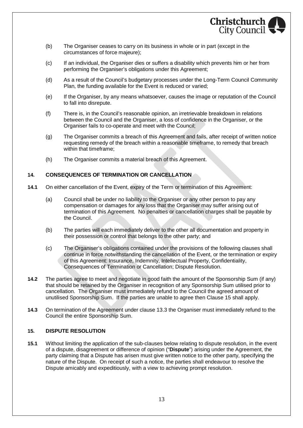

- (b) The Organiser ceases to carry on its business in whole or in part (except in the circumstances of force majeure);
- (c) If an individual, the Organiser dies or suffers a disability which prevents him or her from performing the Organiser's obligations under this Agreement;
- (d) As a result of the Council's budgetary processes under the Long-Term Council Community Plan, the funding available for the Event is reduced or varied;
- (e) If the Organiser, by any means whatsoever, causes the image or reputation of the Council to fall into disrepute.
- (f) There is, in the Council's reasonable opinion, an irretrievable breakdown in relations between the Council and the Organiser, a loss of confidence in the Organiser, or the Organiser fails to co-operate and meet with the Council;
- (g) The Organiser commits a breach of this Agreement and fails, after receipt of written notice requesting remedy of the breach within a reasonable timeframe, to remedy that breach within that timeframe;
- (h) The Organiser commits a material breach of this Agreement.

#### **14. CONSEQUENCES OF TERMINATION OR CANCELLATION**

- **14.1** On either cancellation of the Event, expiry of the Term or termination of this Agreement:
	- (a) Council shall be under no liability to the Organiser or any other person to pay any compensation or damages for any loss that the Organiser may suffer arising out of termination of this Agreement. No penalties or cancellation charges shall be payable by the Council.
	- (b) The parties will each immediately deliver to the other all documentation and property in their possession or control that belongs to the other party; and
	- (c) The Organiser's obligations contained under the provisions of the following clauses shall continue in force notwithstanding the cancellation of the Event, or the termination or expiry of this Agreement: Insurance, Indemnity, Intellectual Property, Confidentiality, Consequences of Termination or Cancellation; Dispute Resolution.
- **14.2** The parties agree to meet and negotiate in good faith the amount of the Sponsorship Sum (if any) that should be retained by the Organiser in recognition of any Sponsorship Sum utilised prior to cancellation. The Organiser must immediately refund to the Council the agreed amount of unutilised Sponsorship Sum. If the parties are unable to agree then Clause 15 shall apply.
- **14.3** On termination of the Agreement under clause 13.3 the Organiser must immediately refund to the Council the entire Sponsorship Sum.

#### **15. DISPUTE RESOLUTION**

**15.1** Without limiting the application of the sub-clauses below relating to dispute resolution, in the event of a dispute, disagreement or difference of opinion ("**Dispute**") arising under the Agreement, the party claiming that a Dispute has arisen must give written notice to the other party, specifying the nature of the Dispute. On receipt of such a notice, the parties shall endeavour to resolve the Dispute amicably and expeditiously, with a view to achieving prompt resolution.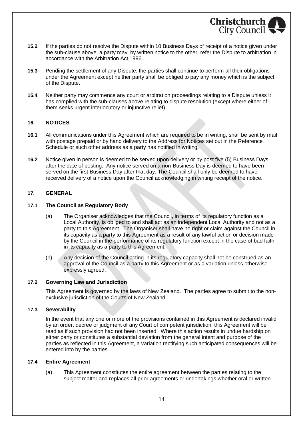

- **15.2** If the parties do not resolve the Dispute within 10 Business Days of receipt of a notice given under the sub-clause above, a party may, by written notice to the other, refer the Dispute to arbitration in accordance with the Arbitration Act 1996.
- **15.3** Pending the settlement of any Dispute, the parties shall continue to perform all their obligations under the Agreement except neither party shall be obliged to pay any money which is the subject of the Dispute.
- **15.4** Neither party may commence any court or arbitration proceedings relating to a Dispute unless it has complied with the sub-clauses above relating to dispute resolution (except where either of them seeks urgent interlocutory or injunctive relief).

#### **16. NOTICES**

- **16.1** All communications under this Agreement which are required to be in writing, shall be sent by mail with postage prepaid or by hand delivery to the Address for Notices set out in the Reference Schedule or such other address as a party has notified in writing.
- **16.2** Notice given in person is deemed to be served upon delivery or by post five (5) Business Days after the date of posting. Any notice served on a non-Business Day is deemed to have been served on the first Business Day after that day. The Council shall only be deemed to have received delivery of a notice upon the Council acknowledging in writing receipt of the notice.

#### **17. GENERAL**

#### **17.1 The Council as Regulatory Body**

- (a) The Organiser acknowledges that the Council, in terms of its regulatory function as a Local Authority, is obliged to and shall act as an independent Local Authority and not as a party to this Agreement. The Organiser shall have no right or claim against the Council in its capacity as a party to this Agreement as a result of any lawful action or decision made by the Council in the performance of its regulatory function except in the case of bad faith in its capacity as a party to this Agreement.
- (b) Any decision of the Council acting in its regulatory capacity shall not be construed as an approval of the Council as a party to this Agreement or as a variation unless otherwise expressly agreed.

#### **17.2 Governing Law and Jurisdiction**

This Agreement is governed by the laws of New Zealand. The parties agree to submit to the nonexclusive jurisdiction of the Courts of New Zealand.

#### **17.3 Severability**

In the event that any one or more of the provisions contained in this Agreement is declared invalid by an order, decree or judgment of any Court of competent jurisdiction, this Agreement will be read as if such provision had not been inserted. Where this action results in undue hardship on either party or constitutes a substantial deviation from the general intent and purpose of the parties as reflected in this Agreement, a variation rectifying such anticipated consequences will be entered into by the parties.

#### **17.4 Entire Agreement**

(a) This Agreement constitutes the entire agreement between the parties relating to the subject matter and replaces all prior agreements or undertakings whether oral or written.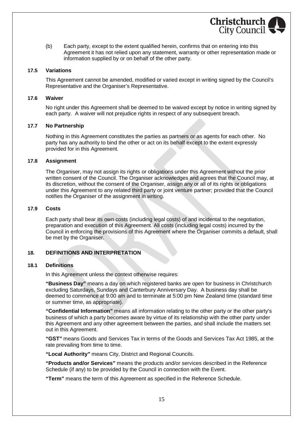(b) Each party, except to the extent qualified herein, confirms that on entering into this Agreement it has not relied upon any statement, warranty or other representation made or information supplied by or on behalf of the other party.

**Christchurch** City Council

#### **17.5 Variations**

This Agreement cannot be amended, modified or varied except in writing signed by the Council's Representative and the Organiser's Representative.

#### **17.6 Waiver**

No right under this Agreement shall be deemed to be waived except by notice in writing signed by each party. A waiver will not prejudice rights in respect of any subsequent breach.

#### **17.7 No Partnership**

Nothing in this Agreement constitutes the parties as partners or as agents for each other. No party has any authority to bind the other or act on its behalf except to the extent expressly provided for in this Agreement.

#### **17.8 Assignment**

The Organiser, may not assign its rights or obligations under this Agreement without the prior written consent of the Council. The Organiser acknowledges and agrees that the Council may, at its discretion, without the consent of the Organiser, assign any or all of its rights or obligations under this Agreement to any related third party or joint venture partner; provided that the Council notifies the Organiser of the assignment in writing.

#### **17.9 Costs**

Each party shall bear its own costs (including legal costs) of and incidental to the negotiation, preparation and execution of this Agreement. All costs (including legal costs) incurred by the Council in enforcing the provisions of this Agreement where the Organiser commits a default, shall be met by the Organiser.

#### **18. DEFINITIONS AND INTERPRETATION**

#### **18.1 Definitions**

In this Agreement unless the context otherwise requires:

**"Business Day"** means a day on which registered banks are open for business in Christchurch excluding Saturdays, Sundays and Canterbury Anniversary Day. A business day shall be deemed to commence at 9:00 am and to terminate at 5:00 pm New Zealand time (standard time or summer time, as appropriate).

**"Confidential Information"** means all information relating to the other party or the other party's business of which a party becomes aware by virtue of its relationship with the other party under this Agreement and any other agreement between the parties, and shall include the matters set out in this Agreement.

**"GST"** means Goods and Services Tax in terms of the Goods and Services Tax Act 1985, at the rate prevailing from time to time.

**"Local Authority"** means City, District and Regional Councils.

**"Products and/or Services"** means the products and/or services described in the Reference Schedule (if any) to be provided by the Council in connection with the Event.

**"Term"** means the term of this Agreement as specified in the Reference Schedule.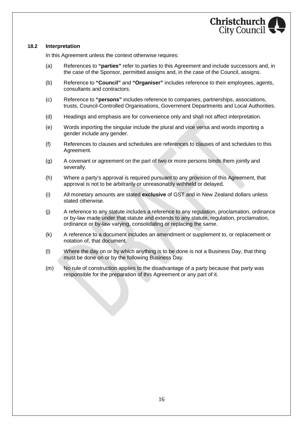

#### **18.2 Interpretation**

In this Agreement unless the context otherwise requires:

- (a) References to **"parties"** refer to parties to this Agreement and include successors and, in the case of the Sponsor, permitted assigns and, in the case of the Council, assigns.
- (b) Reference to **"Council"** and **"Organiser"** includes reference to their employees, agents, consultants and contractors.
- (c) Reference to **"persons"** includes reference to companies, partnerships, associations, trusts, Council-Controlled Organisations, Government Departments and Local Authorities.
- (d) Headings and emphasis are for convenience only and shall not affect interpretation.
- (e) Words importing the singular include the plural and vice versa and words importing a gender include any gender.
- (f) References to clauses and schedules are references to clauses of and schedules to this Agreement.
- (g) A covenant or agreement on the part of two or more persons binds them jointly and severally.
- (h) Where a party's approval is required pursuant to any provision of this Agreement, that approval is not to be arbitrarily or unreasonably withheld or delayed.
- (i) All monetary amounts are stated **exclusive** of GST and in New Zealand dollars unless stated otherwise.
- (j) A reference to any statute includes a reference to any regulation, proclamation, ordinance or by-law made under that statute and extends to any statute, regulation, proclamation, ordinance or by-law varying, consolidating or replacing the same.
- (k) A reference to a document includes an amendment or supplement to, or replacement or notation of, that document.
- (l) Where the day on or by which anything is to be done is not a Business Day, that thing must be done on or by the following Business Day.
- (m) No rule of construction applies to the disadvantage of a party because that party was responsible for the preparation of this Agreement or any part of it.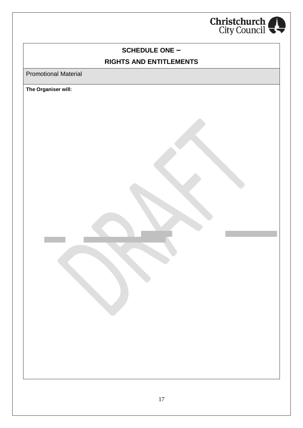

## **SCHEDULE ONE – RIGHTS AND ENTITLEMENTS**

Promotional Material

**The Organiser will:**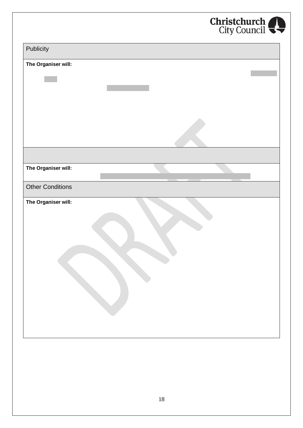

| Publicity               |  |
|-------------------------|--|
| The Organiser will:     |  |
|                         |  |
|                         |  |
|                         |  |
|                         |  |
| The Organiser will:     |  |
| <b>Other Conditions</b> |  |
| The Organiser will:     |  |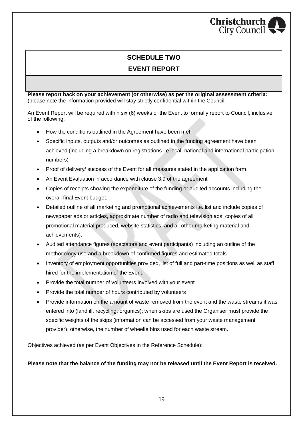## **Christchurch** City Council

## **SCHEDULE TWO EVENT REPORT**

**Please report back on your achievement (or otherwise) as per the original assessment criteria:** (please note the information provided will stay strictly confidential within the Council.

An Event Report will be required within six (6) weeks of the Event to formally report to Council, inclusive of the following:

- · How the conditions outlined in the Agreement have been met
- · Specific inputs, outputs and/or outcomes as outlined in the funding agreement have been achieved (including a breakdown on registrations i.e local, national and international participation numbers)
- · Proof of delivery/ success of the Event for all measures stated in the application form.
- An Event Evaluation in accordance with clause 3.9 of the agreement
- · Copies of receipts showing the expenditure of the funding or audited accounts including the overall final Event budget.
- · Detailed outline of all marketing and promotional achievements i.e. list and include copies of newspaper ads or articles, approximate number of radio and television ads, copies of all promotional material produced, website statistics, and all other marketing material and achievements).
- · Audited attendance figures (spectators and event participants) including an outline of the methodology use and a breakdown of confirmed figures and estimated totals
- · Inventory of employment opportunities provided, list of full and part-time positions as well as staff hired for the implementation of the Event.
- · Provide the total number of volunteers involved with your event
- · Provide the total number of hours contributed by volunteers
- · Provide information on the amount of waste removed from the event and the waste streams it was entered into (landfill, recycling, organics); when skips are used the Organiser must provide the specific weights of the skips (information can be accessed from your waste management provider), otherwise, the number of wheelie bins used for each waste stream.

Objectives achieved (as per Event Objectives in the Reference Schedule):

**Please note that the balance of the funding may not be released until the Event Report is received.**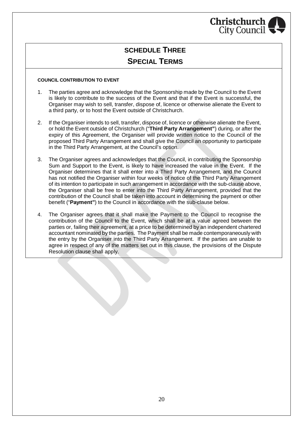

## **SCHEDULE THREE SPECIAL TERMS**

#### **COUNCIL CONTRIBUTION TO EVENT**

- 1. The parties agree and acknowledge that the Sponsorship made by the Council to the Event is likely to contribute to the success of the Event and that if the Event is successful, the Organiser may wish to sell, transfer, dispose of, licence or otherwise alienate the Event to a third party, or to host the Event outside of Christchurch.
- 2. If the Organiser intends to sell, transfer, dispose of, licence or otherwise alienate the Event, or hold the Event outside of Christchurch ("**Third Party Arrangement"**) during, or after the expiry of this Agreement, the Organiser will provide written notice to the Council of the proposed Third Party Arrangement and shall give the Council an opportunity to participate in the Third Party Arrangement, at the Council's option.
- 3. The Organiser agrees and acknowledges that the Council, in contributing the Sponsorship Sum and Support to the Event, is likely to have increased the value in the Event. If the Organiser determines that it shall enter into a Third Party Arrangement, and the Council has not notified the Organiser within four weeks of notice of the Third Party Arrangement of its intention to participate in such arrangement in accordance with the sub-clause above, the Organiser shall be free to enter into the Third Party Arrangement, provided that the contribution of the Council shall be taken into account in determining the payment or other benefit ("**Payment"**) to the Council in accordance with the sub-clause below.
- 4. The Organiser agrees that it shall make the Payment to the Council to recognise the contribution of the Council to the Event, which shall be at a value agreed between the parties or, failing their agreement, at a price to be determined by an independent chartered accountant nominated by the parties. The Payment shall be made contemporaneously with the entry by the Organiser into the Third Party Arrangement. If the parties are unable to agree in respect of any of the matters set out in this clause, the provisions of the Dispute Resolution clause shall apply.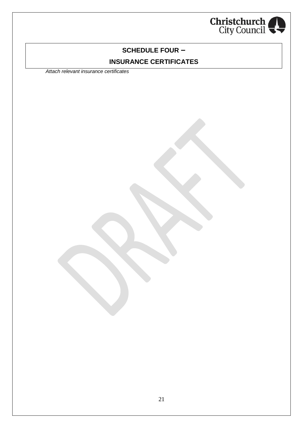

## **SCHEDULE FOUR – INSURANCE CERTIFICATES**

*Attach relevant insurance certificates*

21